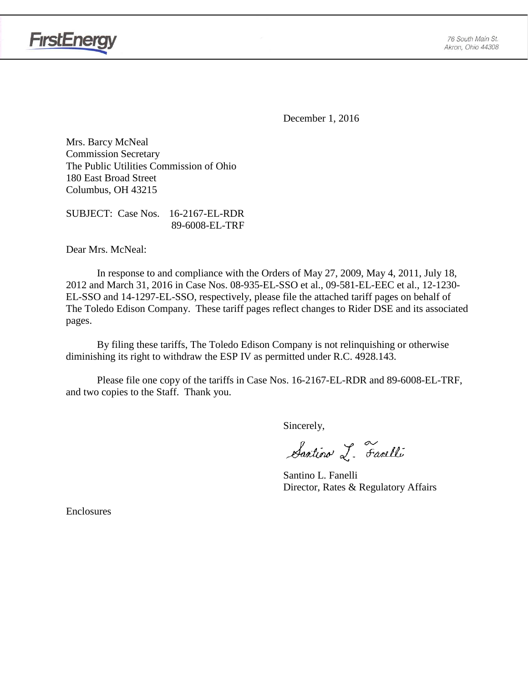

**FirstEnergy** 

December 1, 2016

Mrs. Barcy McNeal Commission Secretary The Public Utilities Commission of Ohio 180 East Broad Street Columbus, OH 43215

SUBJECT: Case Nos. 16-2167-EL-RDR 89-6008-EL-TRF

Dear Mrs. McNeal:

In response to and compliance with the Orders of May 27, 2009, May 4, 2011, July 18, 2012 and March 31, 2016 in Case Nos. 08-935-EL-SSO et al., 09-581-EL-EEC et al., 12-1230- EL-SSO and 14-1297-EL-SSO, respectively, please file the attached tariff pages on behalf of The Toledo Edison Company. These tariff pages reflect changes to Rider DSE and its associated pages.

By filing these tariffs, The Toledo Edison Company is not relinquishing or otherwise diminishing its right to withdraw the ESP IV as permitted under R.C. 4928.143.

Please file one copy of the tariffs in Case Nos. 16-2167-EL-RDR and 89-6008-EL-TRF, and two copies to the Staff. Thank you.

Sincerely,

Santino L. Farelli

Santino L. Fanelli Director, Rates & Regulatory Affairs

Enclosures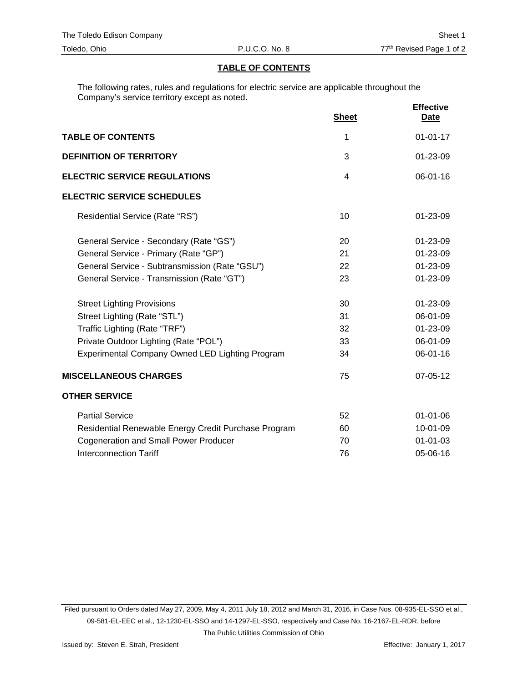#### **TABLE OF CONTENTS**

The following rates, rules and regulations for electric service are applicable throughout the Company's service territory except as noted.

|                                                      | <b>Sheet</b>   | <b>Effective</b><br><b>Date</b> |
|------------------------------------------------------|----------------|---------------------------------|
| <b>TABLE OF CONTENTS</b>                             | 1              | $01 - 01 - 17$                  |
| <b>DEFINITION OF TERRITORY</b>                       | 3              | 01-23-09                        |
| <b>ELECTRIC SERVICE REGULATIONS</b>                  | $\overline{4}$ | $06 - 01 - 16$                  |
| <b>ELECTRIC SERVICE SCHEDULES</b>                    |                |                                 |
| Residential Service (Rate "RS")                      | 10             | $01 - 23 - 09$                  |
| General Service - Secondary (Rate "GS")              | 20             | $01 - 23 - 09$                  |
| General Service - Primary (Rate "GP")                | 21             | 01-23-09                        |
| General Service - Subtransmission (Rate "GSU")       | 22             | 01-23-09                        |
| General Service - Transmission (Rate "GT")           | 23             | 01-23-09                        |
| <b>Street Lighting Provisions</b>                    | 30             | 01-23-09                        |
| Street Lighting (Rate "STL")                         | 31             | 06-01-09                        |
| Traffic Lighting (Rate "TRF")                        | 32             | 01-23-09                        |
| Private Outdoor Lighting (Rate "POL")                | 33             | 06-01-09                        |
| Experimental Company Owned LED Lighting Program      | 34             | 06-01-16                        |
| <b>MISCELLANEOUS CHARGES</b>                         | 75             | 07-05-12                        |
| <b>OTHER SERVICE</b>                                 |                |                                 |
| <b>Partial Service</b>                               | 52             | $01 - 01 - 06$                  |
| Residential Renewable Energy Credit Purchase Program | 60             | 10-01-09                        |
| <b>Cogeneration and Small Power Producer</b>         | 70             | $01 - 01 - 03$                  |
| <b>Interconnection Tariff</b>                        | 76             | 05-06-16                        |

Filed pursuant to Orders dated May 27, 2009, May 4, 2011 July 18, 2012 and March 31, 2016, in Case Nos. 08-935-EL-SSO et al., 09-581-EL-EEC et al., 12-1230-EL-SSO and 14-1297-EL-SSO, respectively and Case No. 16-2167-EL-RDR, before

The Public Utilities Commission of Ohio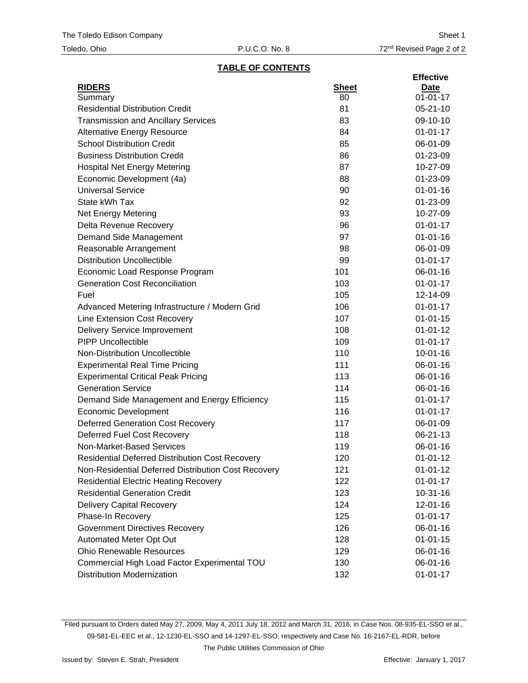#### **TABLE OF CONTENTS**

|                                                        |              | <b>Effective</b> |
|--------------------------------------------------------|--------------|------------------|
| <b>RIDERS</b>                                          | <b>Sheet</b> | Date             |
| Summary                                                | 80           | $01 - 01 - 17$   |
| <b>Residential Distribution Credit</b>                 | 81           | $05 - 21 - 10$   |
| <b>Transmission and Ancillary Services</b>             | 83           | 09-10-10         |
| <b>Alternative Energy Resource</b>                     | 84           | $01 - 01 - 17$   |
| <b>School Distribution Credit</b>                      | 85           | 06-01-09         |
| <b>Business Distribution Credit</b>                    | 86           | 01-23-09         |
| <b>Hospital Net Energy Metering</b>                    | 87           | 10-27-09         |
| Economic Development (4a)                              | 88           | 01-23-09         |
| <b>Universal Service</b>                               | 90           | $01 - 01 - 16$   |
| State kWh Tax                                          | 92           | 01-23-09         |
| Net Energy Metering                                    | 93           | 10-27-09         |
| Delta Revenue Recovery                                 | 96           | $01 - 01 - 17$   |
| Demand Side Management                                 | 97           | $01 - 01 - 16$   |
| Reasonable Arrangement                                 | 98           | 06-01-09         |
| <b>Distribution Uncollectible</b>                      | 99           | $01 - 01 - 17$   |
| Economic Load Response Program                         | 101          | 06-01-16         |
| <b>Generation Cost Reconciliation</b>                  | 103          | $01 - 01 - 17$   |
| Fuel                                                   | 105          | 12-14-09         |
| Advanced Metering Infrastructure / Modern Grid         | 106          | $01 - 01 - 17$   |
| Line Extension Cost Recovery                           | 107          | $01 - 01 - 15$   |
| <b>Delivery Service Improvement</b>                    | 108          | $01 - 01 - 12$   |
| <b>PIPP Uncollectible</b>                              | 109          | $01 - 01 - 17$   |
| Non-Distribution Uncollectible                         | 110          | $10 - 01 - 16$   |
| <b>Experimental Real Time Pricing</b>                  | 111          | 06-01-16         |
| <b>Experimental Critical Peak Pricing</b>              | 113          | 06-01-16         |
| <b>Generation Service</b>                              | 114          | 06-01-16         |
| Demand Side Management and Energy Efficiency           | 115          | $01 - 01 - 17$   |
| <b>Economic Development</b>                            | 116          | $01 - 01 - 17$   |
| <b>Deferred Generation Cost Recovery</b>               | 117          | 06-01-09         |
| Deferred Fuel Cost Recovery                            | 118          | 06-21-13         |
| Non-Market-Based Services                              | 119          | 06-01-16         |
| <b>Residential Deferred Distribution Cost Recovery</b> | 120          | $01 - 01 - 12$   |
| Non-Residential Deferred Distribution Cost Recovery    | 121          | $01 - 01 - 12$   |
| <b>Residential Electric Heating Recovery</b>           | 122          | $01 - 01 - 17$   |
| <b>Residential Generation Credit</b>                   | 123          | $10-31-16$       |
| <b>Delivery Capital Recovery</b>                       | 124          | $12 - 01 - 16$   |
| Phase-In Recovery                                      | 125          | $01 - 01 - 17$   |
| <b>Government Directives Recovery</b>                  | 126          | 06-01-16         |
| Automated Meter Opt Out                                | 128          | $01 - 01 - 15$   |
| <b>Ohio Renewable Resources</b>                        | 129          | 06-01-16         |
| Commercial High Load Factor Experimental TOU           | 130          | 06-01-16         |
| <b>Distribution Modernization</b>                      | 132          | $01 - 01 - 17$   |
|                                                        |              |                  |

Filed pursuant to Orders dated May 27, 2009, May 4, 2011 July 18, 2012 and March 31, 2016, in Case Nos. 08-935-EL-SSO et al., 09-581-EL-EEC et al., 12-1230-EL-SSO and 14-1297-EL-SSO, respectively and Case No. 16-2167-EL-RDR, before

The Public Utilities Commission of Ohio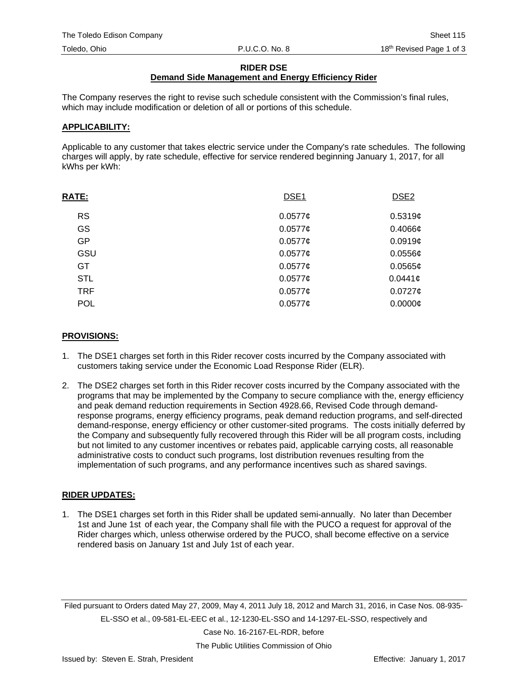#### **RIDER DSE**

### **Demand Side Management and Energy Efficiency Rider**

The Company reserves the right to revise such schedule consistent with the Commission's final rules, which may include modification or deletion of all or portions of this schedule.

#### **APPLICABILITY:**

Applicable to any customer that takes electric service under the Company's rate schedules. The following charges will apply, by rate schedule, effective for service rendered beginning January 1, 2017, for all kWhs per kWh:

| <b>RATE:</b> | DSE <sub>1</sub> | DSE <sub>2</sub> |
|--------------|------------------|------------------|
| <b>RS</b>    | $0.0577$ ¢       | 0.5319c          |
| GS           | $0.0577$ ¢       | 0.4066c          |
| <b>GP</b>    | $0.0577$ ¢       | 0.0919c          |
| GSU          | 0.0577c          | $0.0556$ ¢       |
| GT.          | $0.0577$ ¢       | $0.0565$ ¢       |
| <b>STL</b>   | 0.0577c          | 0.0441c          |
| <b>TRF</b>   | 0.0577c          | $0.0727$ ¢       |
| <b>POL</b>   | 0.0577c          | $0.0000$ ¢       |

#### **PROVISIONS:**

- 1. The DSE1 charges set forth in this Rider recover costs incurred by the Company associated with customers taking service under the Economic Load Response Rider (ELR).
- 2. The DSE2 charges set forth in this Rider recover costs incurred by the Company associated with the programs that may be implemented by the Company to secure compliance with the, energy efficiency and peak demand reduction requirements in Section 4928.66, Revised Code through demandresponse programs, energy efficiency programs, peak demand reduction programs, and self-directed demand-response, energy efficiency or other customer-sited programs. The costs initially deferred by the Company and subsequently fully recovered through this Rider will be all program costs, including but not limited to any customer incentives or rebates paid, applicable carrying costs, all reasonable administrative costs to conduct such programs, lost distribution revenues resulting from the implementation of such programs, and any performance incentives such as shared savings.

#### **RIDER UPDATES:**

1. The DSE1 charges set forth in this Rider shall be updated semi-annually. No later than December 1st and June 1st of each year, the Company shall file with the PUCO a request for approval of the Rider charges which, unless otherwise ordered by the PUCO, shall become effective on a service rendered basis on January 1st and July 1st of each year.

Filed pursuant to Orders dated May 27, 2009, May 4, 2011 July 18, 2012 and March 31, 2016, in Case Nos. 08-935- EL-SSO et al., 09-581-EL-EEC et al., 12-1230-EL-SSO and 14-1297-EL-SSO, respectively and

Case No. 16-2167-EL-RDR, before

The Public Utilities Commission of Ohio